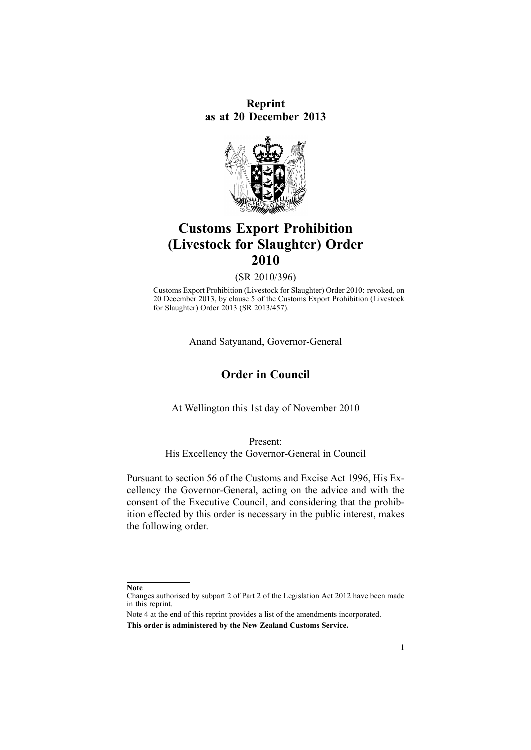**Reprint as at 20 December 2013**



# **Customs Export Prohibition (Livestock for Slaughter) Order 2010**

(SR 2010/396)

Customs Export Prohibition (Livestock for Slaughter) Order 2010: revoked, on 20 December 2013, by [clause](http://www.legislation.govt.nz/pdflink.aspx?id=DLM5718912) 5 of the Customs Export Prohibition (Livestock for Slaughter) Order 2013 (SR 2013/457).

Anand Satyanand, Governor-General

## **Order in Council**

At Wellington this 1st day of November 2010

#### Present:

His Excellency the Governor-General in Council

Pursuant to [section](http://www.legislation.govt.nz/pdflink.aspx?id=DLM378465) 56 of the Customs and Excise Act 1996, His Excellency the Governor-General, acting on the advice and with the consent of the Executive Council, and considering that the prohibition effected by this order is necessary in the public interest, makes the following order.

**Note**

Changes authorised by [subpart](http://www.legislation.govt.nz/pdflink.aspx?id=DLM2998524) 2 of Part 2 of the Legislation Act 2012 have been made in this reprint.

Note 4 at the end of this reprint provides <sup>a</sup> list of the amendments incorporated. **This order is administered by the New Zealand Customs Service.**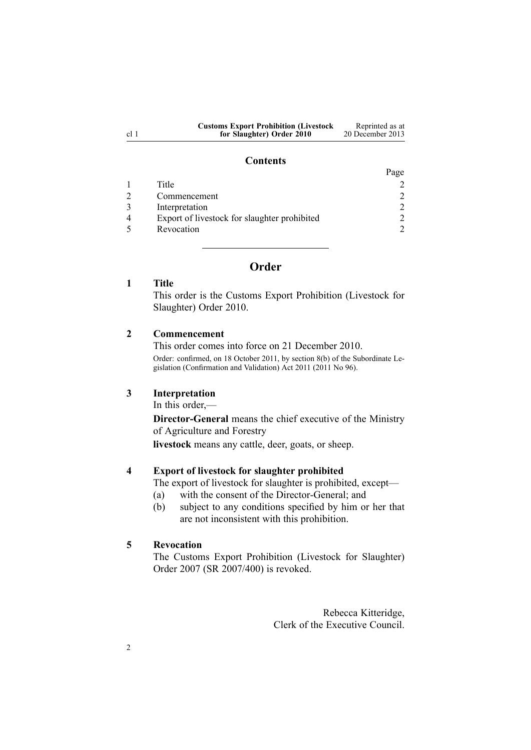| <b>Customs Export Prohibition (Livestock)</b> | Reprinted as at  |
|-----------------------------------------------|------------------|
| for Slaughter) Order 2010                     | 20 December 2013 |

#### **Contents**

|                                              | Page                        |
|----------------------------------------------|-----------------------------|
| Title                                        |                             |
| Commencement                                 | $\mathcal{D}_{\mathcal{L}}$ |
| Interpretation                               | $\mathcal{D}_{\mathcal{L}}$ |
| Export of livestock for slaughter prohibited | 2                           |
| Revocation                                   | $\gamma$                    |

## **Order**

| ītle |
|------|
|      |

This order is the Customs Export Prohibition (Livestock for Slaughter) Order 2010.

#### **2 Commencement**

This order comes into force on 21 December 2010. Order: confirmed, on 18 October 2011, by [section](http://www.legislation.govt.nz/pdflink.aspx?id=DLM3859416) 8(b) of the Subordinate Legislation (Confirmation and Validation) Act 2011 (2011 No 96).

#### **3 Interpretation**

In this order,—

**Director-General** means the chief executive of the Ministry of Agriculture and Forestry

**livestock** means any cattle, deer, goats, or sheep.

### **4 Export of livestock for slaughter prohibited**

The expor<sup>t</sup> of livestock for slaughter is prohibited, except—

- (a) with the consent of the Director-General; and
- (b) subject to any conditions specified by him or her that are not inconsistent with this prohibition.

#### **5 Revocation**

The Customs Export Prohibition [\(Livestock](http://www.legislation.govt.nz/pdflink.aspx?id=DLM1120332) for Slaughter) [Order](http://www.legislation.govt.nz/pdflink.aspx?id=DLM1120332) 2007 (SR 2007/400) is revoked.

> Rebecca Kitteridge, Clerk of the Executive Council.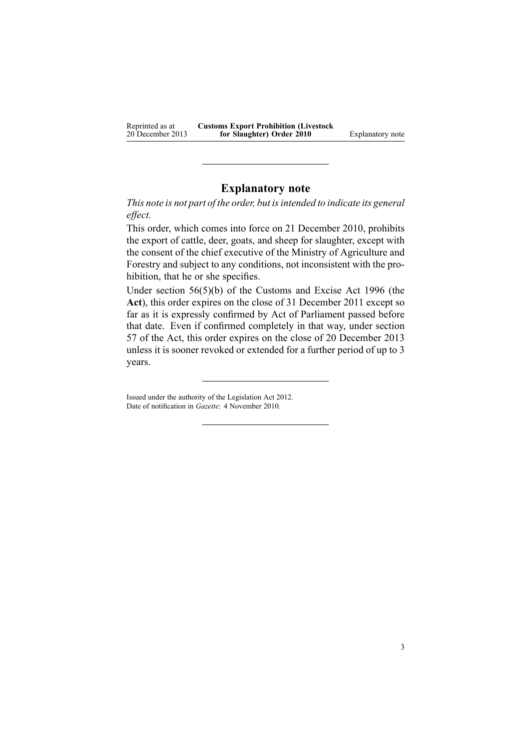Reprinted as at 20 December 2013 **Customs Export Prohibition (Livestock for Slaughter) Order 2010** Explanatory note

## **Explanatory note**

*This note is not par<sup>t</sup> of the order, but isintended to indicate its general effect.*

This order, which comes into force on 21 December 2010, prohibits the expor<sup>t</sup> of cattle, deer, goats, and sheep for slaughter, excep<sup>t</sup> with the consent of the chief executive of the Ministry of Agriculture and Forestry and subject to any conditions, not inconsistent with the prohibition, that he or she specifies.

Under section [56\(5\)\(b\)](http://www.legislation.govt.nz/pdflink.aspx?id=DLM378465) of the Customs and Excise Act 1996 (the **Act**), this order expires on the close of 31 December 2011 excep<sup>t</sup> so far as it is expressly confirmed by Act of Parliament passed before that date. Even if confirmed completely in that way, under [section](http://www.legislation.govt.nz/pdflink.aspx?id=DLM378483) [57](http://www.legislation.govt.nz/pdflink.aspx?id=DLM378483) of the Act, this order expires on the close of 20 December 2013 unless it is sooner revoked or extended for <sup>a</sup> further period of up to 3 years.

Issued under the authority of the [Legislation](http://www.legislation.govt.nz/pdflink.aspx?id=DLM2997643) Act 2012. Date of notification in *Gazette*: 4 November 2010.